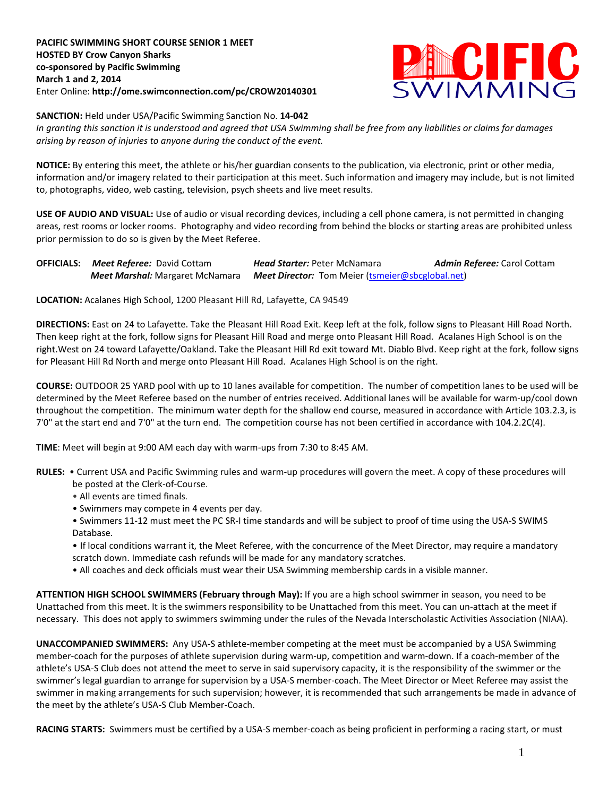**PACIFIC SWIMMING SHORT COURSE SENIOR 1 MEET HOSTED BY Crow Canyon Sharks co-sponsored by Pacific Swimming March 1 and 2, 2014** Enter Online: **http://ome.swimconnection.com/pc/CROW20140301**



## **SANCTION:** Held under USA/Pacific Swimming Sanction No. **14-042**

*In granting this sanction it is understood and agreed that USA Swimming shall be free from any liabilities or claims for damages arising by reason of injuries to anyone during the conduct of the event.*

**NOTICE:** By entering this meet, the athlete or his/her guardian consents to the publication, via electronic, print or other media, information and/or imagery related to their participation at this meet. Such information and imagery may include, but is not limited to, photographs, video, web casting, television, psych sheets and live meet results.

**USE OF AUDIO AND VISUAL:** Use of audio or visual recording devices, including a cell phone camera, is not permitted in changing areas, rest rooms or locker rooms. Photography and video recording from behind the blocks or starting areas are prohibited unless prior permission to do so is given by the Meet Referee.

**OFFICIALS:** *Meet Referee:* David Cottam *Head Starter:* Peter McNamara *Admin Referee:* Carol Cottam *Meet Marshal:* Margaret McNamara *Meet Director:* Tom Meier [\(tsmeier@sbcglobal.net\)](mailto:tsmeier@sbcglobal.net)

**LOCATION:** Acalanes High School, 1200 Pleasant Hill Rd, Lafayette, CA 94549

**DIRECTIONS:** East on 24 to Lafayette. Take the Pleasant Hill Road Exit. Keep left at the folk, follow signs to Pleasant Hill Road North. Then keep right at the fork, follow signs for Pleasant Hill Road and merge onto Pleasant Hill Road. Acalanes High School is on the right.West on 24 toward Lafayette/Oakland. Take the Pleasant Hill Rd exit toward Mt. Diablo Blvd. Keep right at the fork, follow signs for Pleasant Hill Rd North and merge onto Pleasant Hill Road. Acalanes High School is on the right.

**COURSE:** OUTDOOR 25 YARD pool with up to 10 lanes available for competition. The number of competition lanes to be used will be determined by the Meet Referee based on the number of entries received. Additional lanes will be available for warm-up/cool down throughout the competition. The minimum water depth for the shallow end course, measured in accordance with Article 103.2.3, is 7'0" at the start end and 7'0" at the turn end. The competition course has not been certified in accordance with 104.2.2C(4).

**TIME**: Meet will begin at 9:00 AM each day with warm-ups from 7:30 to 8:45 AM.

- **RULES:** Current USA and Pacific Swimming rules and warm-up procedures will govern the meet. A copy of these procedures will be posted at the Clerk-of-Course.
	- All events are timed finals.
	- Swimmers may compete in 4 events per day.
	- Swimmers 11-12 must meet the PC SR-I time standards and will be subject to proof of time using the USA-S SWIMS Database.
	- If local conditions warrant it, the Meet Referee, with the concurrence of the Meet Director, may require a mandatory scratch down. Immediate cash refunds will be made for any mandatory scratches.
	- All coaches and deck officials must wear their USA Swimming membership cards in a visible manner.

**ATTENTION HIGH SCHOOL SWIMMERS (February through May):** If you are a high school swimmer in season, you need to be Unattached from this meet. It is the swimmers responsibility to be Unattached from this meet. You can un-attach at the meet if necessary. This does not apply to swimmers swimming under the rules of the Nevada Interscholastic Activities Association (NIAA).

**UNACCOMPANIED SWIMMERS:** Any USA-S athlete-member competing at the meet must be accompanied by a USA Swimming member-coach for the purposes of athlete supervision during warm-up, competition and warm-down. If a coach-member of the athlete's USA-S Club does not attend the meet to serve in said supervisory capacity, it is the responsibility of the swimmer or the swimmer's legal guardian to arrange for supervision by a USA-S member-coach. The Meet Director or Meet Referee may assist the swimmer in making arrangements for such supervision; however, it is recommended that such arrangements be made in advance of the meet by the athlete's USA-S Club Member-Coach.

**RACING STARTS:** Swimmers must be certified by a USA-S member-coach as being proficient in performing a racing start, or must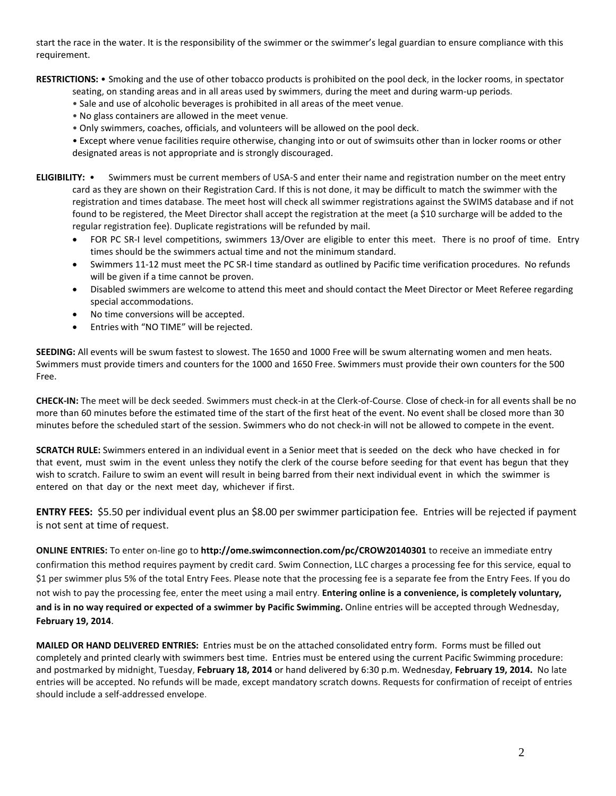start the race in the water. It is the responsibility of the swimmer or the swimmer's legal guardian to ensure compliance with this requirement.

**RESTRICTIONS:** • Smoking and the use of other tobacco products is prohibited on the pool deck, in the locker rooms, in spectator

- seating, on standing areas and in all areas used by swimmers, during the meet and during warm-up periods.
- Sale and use of alcoholic beverages is prohibited in all areas of the meet venue.
- No glass containers are allowed in the meet venue.
- Only swimmers, coaches, officials, and volunteers will be allowed on the pool deck.

• Except where venue facilities require otherwise, changing into or out of swimsuits other than in locker rooms or other designated areas is not appropriate and is strongly discouraged.

- **ELIGIBILITY:** Swimmers must be current members of USA-S and enter their name and registration number on the meet entry card as they are shown on their Registration Card. If this is not done, it may be difficult to match the swimmer with the registration and times database. The meet host will check all swimmer registrations against the SWIMS database and if not found to be registered, the Meet Director shall accept the registration at the meet (a \$10 surcharge will be added to the regular registration fee). Duplicate registrations will be refunded by mail.
	- FOR PC SR-I level competitions, swimmers 13/Over are eligible to enter this meet. There is no proof of time. Entry times should be the swimmers actual time and not the minimum standard.
	- Swimmers 11-12 must meet the PC SR-I time standard as outlined by Pacific time verification procedures. No refunds will be given if a time cannot be proven.
	- Disabled swimmers are welcome to attend this meet and should contact the Meet Director or Meet Referee regarding special accommodations.
	- No time conversions will be accepted.
	- Entries with "NO TIME" will be rejected.

**SEEDING:** All events will be swum fastest to slowest. The 1650 and 1000 Free will be swum alternating women and men heats. Swimmers must provide timers and counters for the 1000 and 1650 Free. Swimmers must provide their own counters for the 500 Free.

**CHECK-IN:** The meet will be deck seeded. Swimmers must check-in at the Clerk-of-Course. Close of check-in for all events shall be no more than 60 minutes before the estimated time of the start of the first heat of the event. No event shall be closed more than 30 minutes before the scheduled start of the session. Swimmers who do not check-in will not be allowed to compete in the event.

**SCRATCH RULE:** Swimmers entered in an individual event in a Senior meet that is seeded on the deck who have checked in for that event, must swim in the event unless they notify the clerk of the course before seeding for that event has begun that they wish to scratch. Failure to swim an event will result in being barred from their next individual event in which the swimmer is entered on that day or the next meet day, whichever if first.

**ENTRY FEES:** \$5.50 per individual event plus an \$8.00 per swimmer participation fee. Entries will be rejected if payment is not sent at time of request.

**ONLINE ENTRIES:** To enter on-line go to **http://ome.swimconnection.com/pc/CROW20140301** to receive an immediate entry confirmation this method requires payment by credit card. Swim Connection, LLC charges a processing fee for this service, equal to \$1 per swimmer plus 5% of the total Entry Fees. Please note that the processing fee is a separate fee from the Entry Fees. If you do not wish to pay the processing fee, enter the meet using a mail entry. **Entering online is a convenience, is completely voluntary, and is in no way required or expected of a swimmer by Pacific Swimming.** Online entries will be accepted through Wednesday, **February 19, 2014**.

**MAILED OR HAND DELIVERED ENTRIES:** Entries must be on the attached consolidated entry form. Forms must be filled out completely and printed clearly with swimmers best time. Entries must be entered using the current Pacific Swimming procedure: and postmarked by midnight, Tuesday, **February 18, 2014** or hand delivered by 6:30 p.m. Wednesday, **February 19, 2014.** No late entries will be accepted. No refunds will be made, except mandatory scratch downs. Requests for confirmation of receipt of entries should include a self-addressed envelope.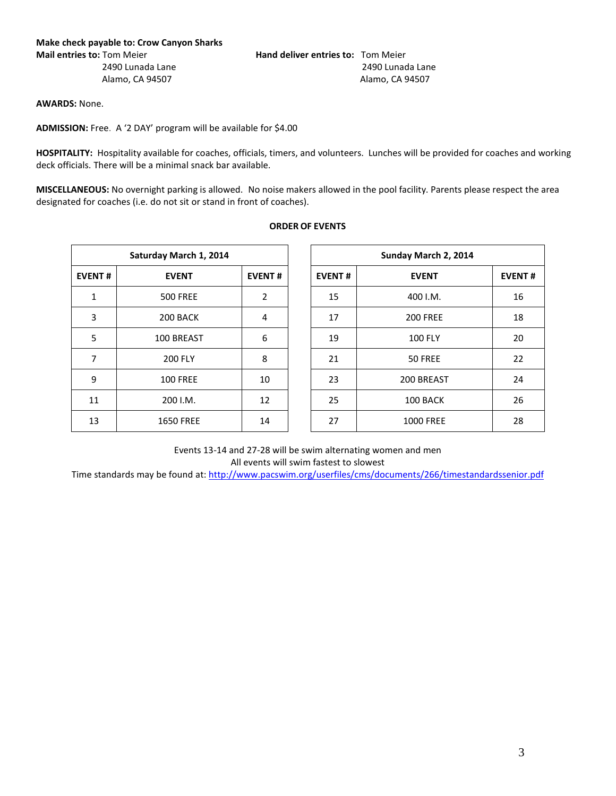**AWARDS:** None.

**ADMISSION:** Free. A '2 DAY' program will be available for \$4.00

**HOSPITALITY:** Hospitality available for coaches, officials, timers, and volunteers. Lunches will be provided for coaches and working deck officials. There will be a minimal snack bar available.

**MISCELLANEOUS:** No overnight parking is allowed. No noise makers allowed in the pool facility. Parents please respect the area designated for coaches (i.e. do not sit or stand in front of coaches).

| Saturday March 1, 2014 |                  |               |  |  |  |  |  |  |  |
|------------------------|------------------|---------------|--|--|--|--|--|--|--|
| <b>EVENT#</b>          | <b>EVENT</b>     | <b>EVENT#</b> |  |  |  |  |  |  |  |
| 1                      | <b>500 FREE</b>  | 2             |  |  |  |  |  |  |  |
| 3                      | 200 BACK         | 4             |  |  |  |  |  |  |  |
| 5                      | 100 BREAST       | 6             |  |  |  |  |  |  |  |
| 7                      | <b>200 FLY</b>   | 8             |  |  |  |  |  |  |  |
| 9                      | <b>100 FREE</b>  | 10            |  |  |  |  |  |  |  |
| 11                     | 200 I.M.         | 12            |  |  |  |  |  |  |  |
| 13                     | <b>1650 FREE</b> | 14            |  |  |  |  |  |  |  |
|                        |                  |               |  |  |  |  |  |  |  |

|  |  | <b>ORDER OF EVENTS</b> |  |
|--|--|------------------------|--|
|  |  |                        |  |

|               | Saturday March 1, 2014 |               | Sunday March 2, 2014 |                  |               |  |  |  |
|---------------|------------------------|---------------|----------------------|------------------|---------------|--|--|--|
| <b>EVENT#</b> | <b>EVENT</b>           | <b>EVENT#</b> | <b>EVENT#</b>        | <b>EVENT</b>     | <b>EVENT#</b> |  |  |  |
| 1             | <b>500 FREE</b>        | 2             | 15                   | 400 I.M.         | 16            |  |  |  |
| 3             | 200 BACK               | 4             | 17                   | <b>200 FREE</b>  | 18            |  |  |  |
| 5             | 100 BREAST             | 6             | 19                   | <b>100 FLY</b>   | 20            |  |  |  |
| 7             | <b>200 FLY</b>         | 8             | 21                   | 50 FREE          | 22            |  |  |  |
| 9             | <b>100 FREE</b>        | 10            | 23                   | 200 BREAST       | 24            |  |  |  |
| 11            | 200 I.M.               | 12            | 25                   | 100 BACK         | 26            |  |  |  |
| 13            | <b>1650 FREE</b>       | 14            | 27                   | <b>1000 FREE</b> | 28            |  |  |  |

Events 13-14 and 27-28 will be swim alternating women and men

All events will swim fastest to slowest

Time standards may be found at[: http://www.pacswim.org/userfiles/cms/documents/266/timestandardssenior.pdf](http://www.pacswim.org/userfiles/cms/documents/266/timestandardssenior.pdf)